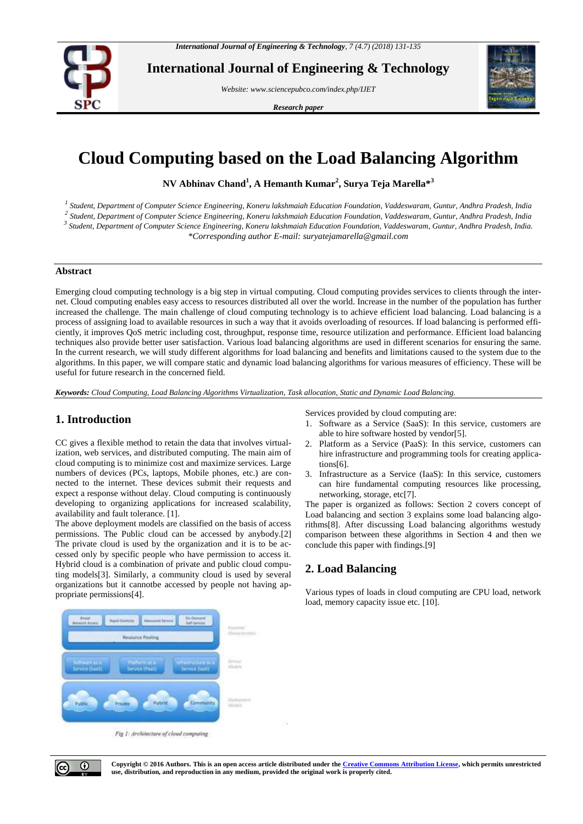

**International Journal of Engineering & Technology**

*Website: [www.sciencepubco.com/index.php/IJET](http://www.sciencepubco.com/index.php/IJET)*

*Research paper*



# **Cloud Computing based on the Load Balancing Algorithm**

**NV Abhinav Chand<sup>1</sup> , A Hemanth Kumar<sup>2</sup> , Surya Teja Marella\*<sup>3</sup>**

*1 Student, Department of Computer Science Engineering, Koneru lakshmaiah Education Foundation, Vaddeswaram, Guntur, Andhra Pradesh, India*

*2 Student, Department of Computer Science Engineering, Koneru lakshmaiah Education Foundation, Vaddeswaram, Guntur, Andhra Pradesh, India* 

*3 Student, Department of Computer Science Engineering, Koneru lakshmaiah Education Foundation, Vaddeswaram, Guntur, Andhra Pradesh, India.*

*\*Corresponding author E-mail: suryatejamarella@gmail.com* 

## **Abstract**

Emerging cloud computing technology is a big step in virtual computing. Cloud computing provides services to clients through the internet. Cloud computing enables easy access to resources distributed all over the world. Increase in the number of the population has further increased the challenge. The main challenge of cloud computing technology is to achieve efficient load balancing. Load balancing is a process of assigning load to available resources in such a way that it avoids overloading of resources. If load balancing is performed efficiently, it improves QoS metric including cost, throughput, response time, resource utilization and performance. Efficient load balancing techniques also provide better user satisfaction. Various load balancing algorithms are used in different scenarios for ensuring the same. In the current research, we will study different algorithms for load balancing and benefits and limitations caused to the system due to the algorithms. In this paper, we will compare static and dynamic load balancing algorithms for various measures of efficiency. These will be useful for future research in the concerned field.

*Keywords: Cloud Computing, Load Balancing Algorithms Virtualization, Task allocation, Static and Dynamic Load Balancing.*

## **1. Introduction**

CC gives a flexible method to retain the data that involves virtualization, web services, and distributed computing. The main aim of cloud computing is to minimize cost and maximize services. Large numbers of devices (PCs, laptops, Mobile phones, etc.) are connected to the internet. These devices submit their requests and expect a response without delay. Cloud computing is continuously developing to organizing applications for increased scalability, availability and fault tolerance. [1].

The above deployment models are classified on the basis of access permissions. The Public cloud can be accessed by anybody.[2] The private cloud is used by the organization and it is to be accessed only by specific people who have permission to access it. Hybrid cloud is a combination of private and public cloud computing models[3]. Similarly, a community cloud is used by several organizations but it cannotbe accessed by people not having appropriate permissions[4].



Fig.1: Architecture of cloud computing

Services provided by cloud computing are:

- 1. Software as a Service (SaaS): In this service, customers are able to hire software hosted by vendor[5].
- 2. Platform as a Service (PaaS): In this service, customers can hire infrastructure and programming tools for creating applications[6].
- 3. Infrastructure as a Service (IaaS): In this service, customers can hire fundamental computing resources like processing, networking, storage, etc[7].

The paper is organized as follows: Section 2 covers concept of Load balancing and section 3 explains some load balancing algorithms[8]. After discussing Load balancing algorithms westudy comparison between these algorithms in Section 4 and then we conclude this paper with findings.[9]

# **2. Load Balancing**

Various types of loads in cloud computing are CPU load, network load, memory capacity issue etc. [10].



**Copyright © 2016 Authors. This is an open access article distributed under th[e Creative Commons Attribution License,](http://creativecommons.org/licenses/by/3.0/) which permits unrestricted use, distribution, and reproduction in any medium, provided the original work is properly cited.**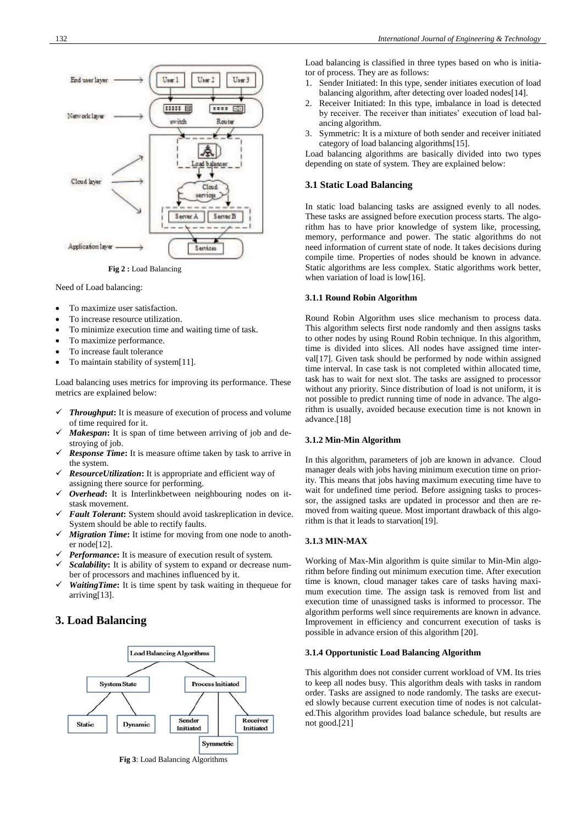

**Fig 2 :** Load Balancing

Need of Load balancing:

- To maximize user satisfaction.
- To increase resource utilization.
- To minimize execution time and waiting time of task.
- To maximize performance.
- To increase fault tolerance
- To maintain stability of system[11].

Load balancing uses metrics for improving its performance. These metrics are explained below:

- *Throughput***:** It is measure of execution of process and volume of time required for it.
- *Makespan***:** It is span of time between arriving of job and destroying of job.
- *Response Time***:** It is measure oftime taken by task to arrive in the system.
- *ResourceUtilization***:** It is appropriate and efficient way of assigning there source for performing.
- *Overhead***:** It is Interlinkbetween neighbouring nodes on itstask movement.
- *Fault Tolerant***:** System should avoid taskreplication in device. System should be able to rectify faults.
- *Migration Time***:** It istime for moving from one node to another node[12].
- *Performance***:** It is measure of execution result of system.
- *Scalability***:** It is ability of system to expand or decrease number of processors and machines influenced by it.
- *WaitingTime***:** It is time spent by task waiting in thequeue for arriving[13].

# **3. Load Balancing**



**Fig 3**: Load Balancing Algorithms

Load balancing is classified in three types based on who is initiator of process. They are as follows:

- 1. Sender Initiated: In this type, sender initiates execution of load balancing algorithm, after detecting over loaded nodes[14].
- 2. Receiver Initiated: In this type, imbalance in load is detected by receiver. The receiver than initiates' execution of load balancing algorithm.
- 3. Symmetric: It is a mixture of both sender and receiver initiated category of load balancing algorithms[15].

Load balancing algorithms are basically divided into two types depending on state of system. They are explained below:

## **3.1 Static Load Balancing**

In static load balancing tasks are assigned evenly to all nodes. These tasks are assigned before execution process starts. The algorithm has to have prior knowledge of system like, processing, memory, performance and power. The static algorithms do not need information of current state of node. It takes decisions during compile time. Properties of nodes should be known in advance. Static algorithms are less complex. Static algorithms work better, when variation of load is low[16].

#### **3.1.1 Round Robin Algorithm**

Round Robin Algorithm uses slice mechanism to process data. This algorithm selects first node randomly and then assigns tasks to other nodes by using Round Robin technique. In this algorithm, time is divided into slices. All nodes have assigned time interval[17]. Given task should be performed by node within assigned time interval. In case task is not completed within allocated time, task has to wait for next slot. The tasks are assigned to processor without any priority. Since distribution of load is not uniform, it is not possible to predict running time of node in advance. The algorithm is usually, avoided because execution time is not known in advance.[18]

#### **3.1.2 Min-Min Algorithm**

In this algorithm, parameters of job are known in advance. Cloud manager deals with jobs having minimum execution time on priority. This means that jobs having maximum executing time have to wait for undefined time period. Before assigning tasks to processor, the assigned tasks are updated in processor and then are removed from waiting queue. Most important drawback of this algorithm is that it leads to starvation[19].

## **3.1.3 MIN-MAX**

Working of Max-Min algorithm is quite similar to Min-Min algorithm before finding out minimum execution time. After execution time is known, cloud manager takes care of tasks having maximum execution time. The assign task is removed from list and execution time of unassigned tasks is informed to processor. The algorithm performs well since requirements are known in advance. Improvement in efficiency and concurrent execution of tasks is possible in advance ersion of this algorithm [20].

#### **3.1.4 Opportunistic Load Balancing Algorithm**

This algorithm does not consider current workload of VM. Its tries to keep all nodes busy. This algorithm deals with tasks in random order. Tasks are assigned to node randomly. The tasks are executed slowly because current execution time of nodes is not calculated.This algorithm provides load balance schedule, but results are not good.[21]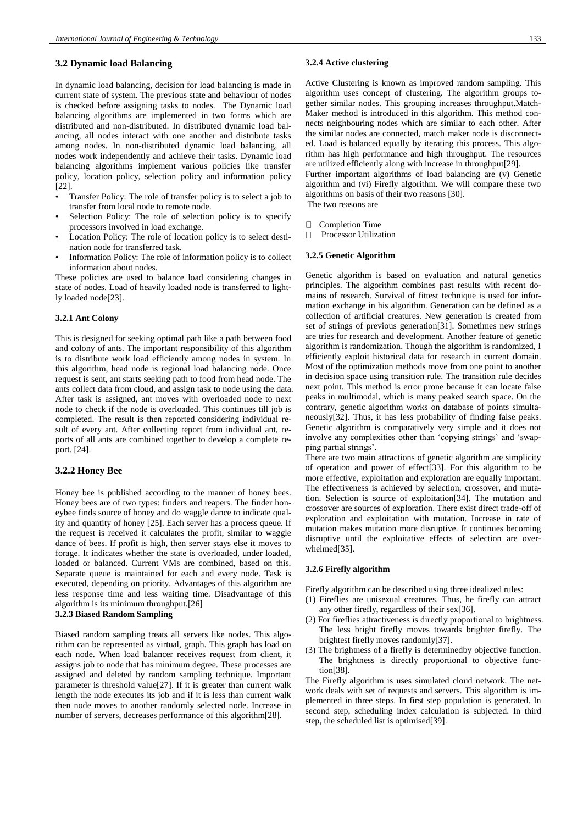## **3.2 Dynamic load Balancing**

In dynamic load balancing, decision for load balancing is made in current state of system. The previous state and behaviour of nodes is checked before assigning tasks to nodes. The Dynamic load balancing algorithms are implemented in two forms which are distributed and non-distributed. In distributed dynamic load balancing, all nodes interact with one another and distribute tasks among nodes. In non-distributed dynamic load balancing, all nodes work independently and achieve their tasks. Dynamic load balancing algorithms implement various policies like transfer policy, location policy, selection policy and information policy [22].

- Transfer Policy: The role of transfer policy is to select a job to transfer from local node to remote node.
- Selection Policy: The role of selection policy is to specify processors involved in load exchange.
- Location Policy: The role of location policy is to select destination node for transferred task.
- Information Policy: The role of information policy is to collect information about nodes.

These policies are used to balance load considering changes in state of nodes. Load of heavily loaded node is transferred to lightly loaded node[23].

## **3.2.1 Ant Colony**

This is designed for seeking optimal path like a path between food and colony of ants. The important responsibility of this algorithm is to distribute work load efficiently among nodes in system. In this algorithm, head node is regional load balancing node. Once request is sent, ant starts seeking path to food from head node. The ants collect data from cloud, and assign task to node using the data. After task is assigned, ant moves with overloaded node to next node to check if the node is overloaded. This continues till job is completed. The result is then reported considering individual result of every ant. After collecting report from individual ant, reports of all ants are combined together to develop a complete report. [24].

#### **3.2.2 Honey Bee**

Honey bee is published according to the manner of honey bees. Honey bees are of two types: finders and reapers. The finder honeybee finds source of honey and do waggle dance to indicate quality and quantity of honey [25]. Each server has a process queue. If the request is received it calculates the profit, similar to waggle dance of bees. If profit is high, then server stays else it moves to forage. It indicates whether the state is overloaded, under loaded, loaded or balanced. Current VMs are combined, based on this. Separate queue is maintained for each and every node. Task is executed, depending on priority. Advantages of this algorithm are less response time and less waiting time. Disadvantage of this algorithm is its minimum throughput.[26] **3.2.3 Biased Random Sampling**

Biased random sampling treats all servers like nodes. This algorithm can be represented as virtual, graph. This graph has load on each node. When load balancer receives request from client, it assigns job to node that has minimum degree. These processes are assigned and deleted by random sampling technique. Important parameter is threshold value[27]. If it is greater than current walk length the node executes its job and if it is less than current walk then node moves to another randomly selected node. Increase in number of servers, decreases performance of this algorithm[28].

#### **3.2.4 Active clustering**

Active Clustering is known as improved random sampling. This algorithm uses concept of clustering. The algorithm groups together similar nodes. This grouping increases throughput.Match-Maker method is introduced in this algorithm. This method connects neighbouring nodes which are similar to each other. After the similar nodes are connected, match maker node is disconnected. Load is balanced equally by iterating this process. This algorithm has high performance and high throughput. The resources are utilized efficiently along with increase in throughput[29]. Further important algorithms of load balancing are (v) Genetic algorithm and (vi) Firefly algorithm. We will compare these two algorithms on basis of their two reasons [30].

The two reasons are

- Completion Time  $\Box$
- $\Box$ Processor Utilization

#### **3.2.5 Genetic Algorithm**

Genetic algorithm is based on evaluation and natural genetics principles. The algorithm combines past results with recent domains of research. Survival of fittest technique is used for information exchange in his algorithm. Generation can be defined as a collection of artificial creatures. New generation is created from set of strings of previous generation[31]. Sometimes new strings are tries for research and development. Another feature of genetic algorithm is randomization. Though the algorithm is randomized, I efficiently exploit historical data for research in current domain. Most of the optimization methods move from one point to another in decision space using transition rule. The transition rule decides next point. This method is error prone because it can locate false peaks in multimodal, which is many peaked search space. On the contrary, genetic algorithm works on database of points simultaneously[32]. Thus, it has less probability of finding false peaks. Genetic algorithm is comparatively very simple and it does not involve any complexities other than "copying strings" and "swapping partial strings".

There are two main attractions of genetic algorithm are simplicity of operation and power of effect[33]. For this algorithm to be more effective, exploitation and exploration are equally important. The effectiveness is achieved by selection, crossover, and mutation. Selection is source of exploitation[34]. The mutation and crossover are sources of exploration. There exist direct trade-off of exploration and exploitation with mutation. Increase in rate of mutation makes mutation more disruptive. It continues becoming disruptive until the exploitative effects of selection are overwhelmed[35].

#### **3.2.6 Firefly algorithm**

Firefly algorithm can be described using three idealized rules:

- (1) Fireflies are unisexual creatures. Thus, he firefly can attract any other firefly, regardless of their sex[36].
- (2) For fireflies attractiveness is directly proportional to brightness. The less bright firefly moves towards brighter firefly. The brightest firefly moves randomly[37].
- (3) The brightness of a firefly is determinedby objective function. The brightness is directly proportional to objective function[38].

The Firefly algorithm is uses simulated cloud network. The network deals with set of requests and servers. This algorithm is implemented in three steps. In first step population is generated. In second step, scheduling index calculation is subjected. In third step, the scheduled list is optimised[39].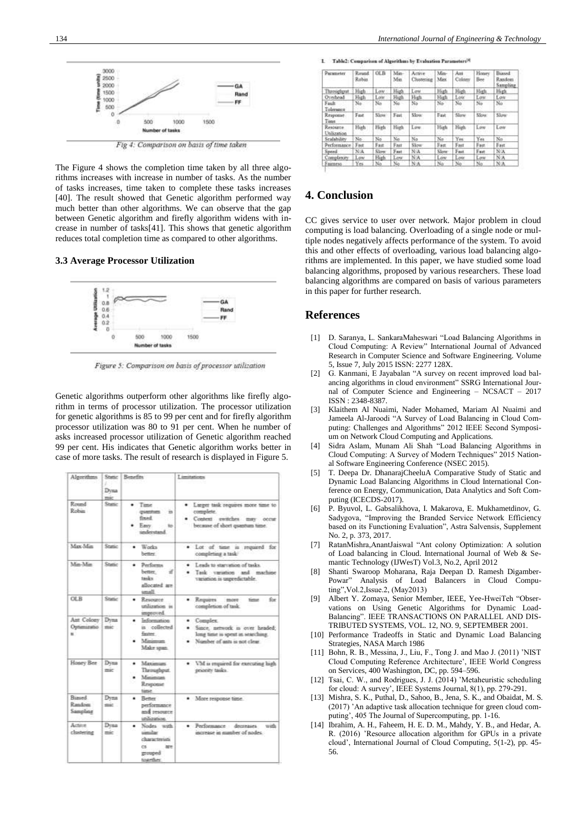

The Figure 4 shows the completion time taken by all three algorithms increases with increase in number of tasks. As the number of tasks increases, time taken to complete these tasks increases [40]. The result showed that Genetic algorithm performed way much better than other algorithms. We can observe that the gap between Genetic algorithm and firefly algorithm widens with increase in number of tasks[41]. This shows that genetic algorithm reduces total completion time as compared to other algorithms.

## **3.3 Average Processor Utilization**



Figure 5: Comparison on basis of processor utilization

Genetic algorithms outperform other algorithms like firefly algorithm in terms of processor utilization. The processor utilization for genetic algorithms is 85 to 99 per cent and for firefly algorithm processor utilization was 80 to 91 per cent. When he number of asks increased processor utilization of Genetic algorithm reached 99 per cent. His indicates that Genetic algorithm works better in case of more tasks. The result of research is displayed in Figure 5.

| Algorithms                               | Static<br>Dyna<br>mic. | <b>Benefits</b>                                                              | Limitations<br>· Lurger task requires more time to<br>complete.<br>Context switches may occur<br>because of short quantum time. |  |  |  |
|------------------------------------------|------------------------|------------------------------------------------------------------------------|---------------------------------------------------------------------------------------------------------------------------------|--|--|--|
| Round<br>Robin                           | Static                 | $+$ Time<br>quantum<br>15<br>final<br>Essy:<br>to.<br>indevend               |                                                                                                                                 |  |  |  |
| Max-Min                                  | Static:                | Works<br>hemer.                                                              | · Lot of time is required for<br>completing a task                                                                              |  |  |  |
| Mm-Mm                                    | Statut                 | <b>Performs</b><br>better.<br>£<br>rados:<br>allocated are<br>thems          | · Leads to starcation of tasks.<br>· Task variation and machine<br>variation is unpredictable.                                  |  |  |  |
| <b>OLB</b>                               | Static                 | Resource<br>۰<br>unilisation is<br>improved                                  | · Requires<br><b>Senat</b><br>for<br>more<br>completion of task.                                                                |  |  |  |
| Ant Colony Dyna<br>Optimizatio mic<br>m. |                        | Information<br>is collected<br>Ester.<br>Minimum<br>Make span.               | · Complex.<br>· Since network is over headed:<br>long time is spent in searching.<br>Number of ants is not clear.               |  |  |  |
| Honey Bee                                | Dyna<br>mic.           | Maximian<br>Throughput.<br>Minimizes<br>Response<br>time.                    | · VM is required for executing high<br>process tasks.                                                                           |  |  |  |
| Biased.<br><b>Random</b><br>Sampling     | Dyna<br>mit :          | <b>Better</b><br>٠<br>performance<br>and resource<br>understend.             | · More response time.                                                                                                           |  |  |  |
| Actore<br>clustering                     | Dysa<br>nic.           | Nodes with<br>similar.<br>characterists<br>ex.<br>are<br>grouped<br>toarther | · Performance - decreases<br>with<br>increase in number of nodes                                                                |  |  |  |

1. Table2: Comparison of Algorithms by Evaluation Parameters<sup>14</sup>

| Parameter                     | Round<br>Robin | <b>OLB</b>  | Min-<br>Min | Active<br>Clustering | Min-<br>Max | Am<br>Colomy | Honey<br>Bee | Busued<br>Randem<br>Sampling |
|-------------------------------|----------------|-------------|-------------|----------------------|-------------|--------------|--------------|------------------------------|
| Throughput                    | High           | Low         | High        | Low                  | <b>High</b> | High         | <b>High</b>  | <b>High</b>                  |
| Overhead                      | High           | Low         | High        | High                 | High        | Low          | Low.         | Low                          |
| Fault<br>Toleranes            | No             | No          | Ns:         | No                   | No          | No.          | No           | No                           |
| Response<br>Tiene             | Fast           | Slow:       | Fest        | Slow.                | Fast        | Slow         | Slow:        | Slow                         |
| <b>Кевоцира</b><br>Unlization | High           | High        | High        | Low.                 | High        | High         | Lów          | Low                          |
| Scalability                   | No.            | No          | No          | No                   | No          | Yes          | Yek          | No                           |
| Performance                   | Fast           | Fast        | Fast        | Slow:                | Fast        | Fast         | Fast         | Fast.                        |
| Speed                         | N/A            | Slow:       | Fast        | N/A                  | Slow:       | Fast         | Exit         | NA                           |
| Complexey                     | 1.6W           | <b>High</b> | Lour        | N/A                  | Low         | Low          | Low          | NA                           |
| Fairness                      | Yes            | No.         | No          | NA                   | No          | No           | No           | N/A                          |

# **4. Conclusion**

CC gives service to user over network. Major problem in cloud computing is load balancing. Overloading of a single node or multiple nodes negatively affects performance of the system. To avoid this and other effects of overloading, various load balancing algorithms are implemented. In this paper, we have studied some load balancing algorithms, proposed by various researchers. These load balancing algorithms are compared on basis of various parameters in this paper for further research.

## **References**

- [1] D. Saranya, L. SankaraMaheswari "Load Balancing Algorithms in Cloud Computing: A Review" International Journal of Advanced Research in Computer Science and Software Engineering. Volume 5, Issue 7, July 2015 ISSN: 2277 128X.
- [2] G. Kanmani, E Jayabalan "A survey on recent improved load balancing algorithms in cloud environment" SSRG International Journal of Computer Science and Engineering – NCSACT – 2017 ISSN : 2348-8387.
- [3] Klaithem Al Nuaimi, Nader Mohamed, Mariam Al Nuaimi and Jameela Al-Jaroodi "A Survey of Load Balancing in Cloud Computing: Challenges and Algorithms" 2012 IEEE Second Symposium on Network Cloud Computing and Applications.
- [4] Sidra Aslam, Munam Ali Shah "Load Balancing Algorithms in Cloud Computing: A Survey of Modern Techniques" 2015 National Software Engineering Conference (NSEC 2015).
- [5] T. Deepa Dr. DhanarajCheeluA Comparative Study of Static and Dynamic Load Balancing Algorithms in Cloud International Conference on Energy, Communication, Data Analytics and Soft Computing (ICECDS-2017).
- [6] P. Byuvol, L. Gabsalikhova, I. Makarova, E. Mukhametdinov, G. Sadygova, "Improving the Branded Service Network Efficiency based on its Functioning Evaluation", Astra Salvensis, Supplement No. 2, p. 373, 2017.
- [7] RatanMishra,AnantJaiswal "Ant colony Optimization: A solution of Load balancing in Cloud. International Journal of Web & Semantic Technology (IJWesT) Vol.3, No.2, April 2012
- [8] Shanti Swaroop Moharana, Raja Deepan D. Ramesh Digamber-Powar" Analysis of Load Balancers in Cloud Computing",Vol.2,Issue.2, (May2013)
- [9] Albert Y. Zomaya, Senior Member, IEEE, Yee-HweiTeh "Observations on Using Genetic Algorithms for Dynamic Load-Balancing". IEEE TRANSACTIONS ON PARALLEL AND DIS-TRIBUTED SYSTEMS, VOL. 12, NO. 9, SEPTEMBER 2001.
- [10] Performance Tradeoffs in Static and Dynamic Load Balancing Strategies, NASA March 1986
- [11] Bohn, R. B., Messina, J., Liu, F., Tong J. and Mao J. (2011) "NIST Cloud Computing Reference Architecture", IEEE World Congress on Services, 400 Washington, DC, pp. 594–596.
- [12] Tsai, C. W., and Rodrigues, J. J. (2014) "Metaheuristic scheduling for cloud: A survey', IEEE Systems Journal, 8(1), pp. 279-291.
- [13] Mishra, S. K., Puthal, D., Sahoo, B., Jena, S. K., and Obaidat, M. S. (2017) "An adaptive task allocation technique for green cloud computing", 405 The Journal of Supercomputing, pp. 1-16.
- [14] Ibrahim, A. H., Faheem, H. E. D. M., Mahdy, Y. B., and Hedar, A. R. (2016) "Resource allocation algorithm for GPUs in a private cloud", International Journal of Cloud Computing, 5(1-2), pp. 45- 56.